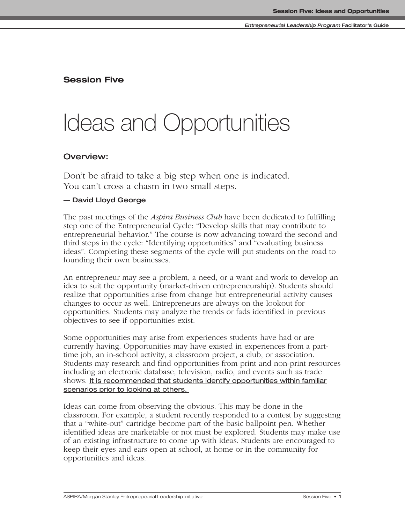### **Session Five**

# Ideas and Opportunities

### **Overview:**

Don't be afraid to take a big step when one is indicated. You can't cross a chasm in two small steps.

### **— David Lloyd George**

The past meetings of the *Aspira Business Club* have been dedicated to fulfilling step one of the Entrepreneurial Cycle: "Develop skills that may contribute to entrepreneurial behavior." The course is now advancing toward the second and third steps in the cycle: "Identifying opportunities" and "evaluating business ideas". Completing these segments of the cycle will put students on the road to founding their own businesses.

An entrepreneur may see a problem, a need, or a want and work to develop an idea to suit the opportunity (market-driven entrepreneurship). Students should realize that opportunities arise from change but entrepreneurial activity causes changes to occur as well. Entrepreneurs are always on the lookout for opportunities. Students may analyze the trends or fads identified in previous objectives to see if opportunities exist.

Some opportunities may arise from experiences students have had or are currently having. Opportunities may have existed in experiences from a parttime job, an in-school activity, a classroom project, a club, or association. Students may research and find opportunities from print and non-print resources including an electronic database, television, radio, and events such as trade shows. It is recommended that students identify opportunities within familiar scenarios prior to looking at others.

Ideas can come from observing the obvious. This may be done in the classroom. For example, a student recently responded to a contest by suggesting that a "white-out" cartridge become part of the basic ballpoint pen. Whether identified ideas are marketable or not must be explored. Students may make use of an existing infrastructure to come up with ideas. Students are encouraged to keep their eyes and ears open at school, at home or in the community for opportunities and ideas.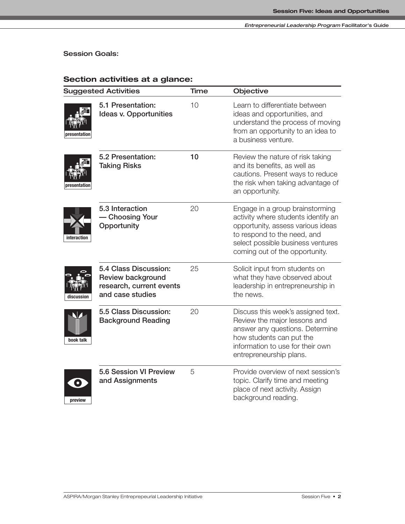**Session Goals:**

| <b>Suggested Activities</b>                                                                              | Time | Objective                                                                                                                                                                                                         |  |  |
|----------------------------------------------------------------------------------------------------------|------|-------------------------------------------------------------------------------------------------------------------------------------------------------------------------------------------------------------------|--|--|
| 5.1 Presentation:<br>Ideas v. Opportunities<br>presentation                                              | 10   | Learn to differentiate between<br>ideas and opportunities, and<br>understand the process of moving<br>from an opportunity to an idea to<br>a business venture.                                                    |  |  |
| 5.2 Presentation:<br><b>Taking Risks</b><br>presentation                                                 | 10   | Review the nature of risk taking<br>and its benefits, as well as<br>cautions. Present ways to reduce<br>the risk when taking advantage of<br>an opportunity.                                                      |  |  |
| 5.3 Interaction<br>- Choosing Your<br>Opportunity<br>interaction                                         | 20   | Engage in a group brainstorming<br>activity where students identify an<br>opportunity, assess various ideas<br>to respond to the need, and<br>select possible business ventures<br>coming out of the opportunity. |  |  |
| 5.4 Class Discussion:<br>Review background<br>research, current events<br>and case studies<br>discussion | 25   | Solicit input from students on<br>what they have observed about<br>leadership in entrepreneurship in<br>the news.                                                                                                 |  |  |
| 5.5 Class Discussion:<br><b>Background Reading</b><br>book talk                                          | 20   | Discuss this week's assigned text.<br>Review the major lessons and<br>answer any questions. Determine<br>how students can put the<br>information to use for their own<br>entrepreneurship plans.                  |  |  |
| 5.6 Session VI Preview<br>and Assignments<br>$\bullet$<br>preview                                        | 5    | Provide overview of next session's<br>topic. Clarify time and meeting<br>place of next activity. Assign<br>background reading.                                                                                    |  |  |

### **Section activities at a glance:**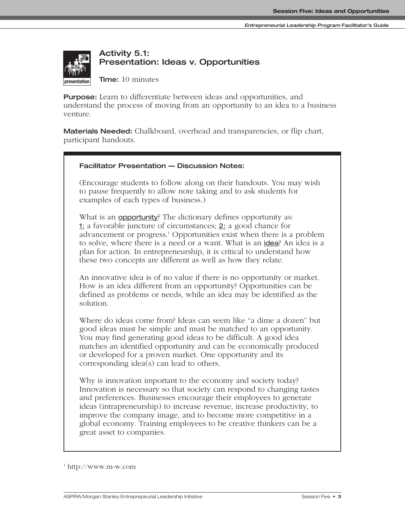

# **Activity 5.1: Presentation: Ideas v. Opportunities**

**Time:** 10 minutes

**Purpose:** Learn to differentiate between ideas and opportunities, and understand the process of moving from an opportunity to an idea to a business venture.

**Materials Needed:** Chalkboard, overhead and transparencies, or flip chart, participant handouts.

#### **Facilitator Presentation — Discussion Notes:**

(Encourage students to follow along on their handouts. You may wish to pause frequently to allow note taking and to ask students for examples of each types of business.)

What is an **opportunity**? The dictionary defines opportunity as: 1: a favorable juncture of circumstances; 2: a good chance for advancement or progress.1 Opportunities exist when there is a problem to solve, where there is a need or a want. What is an idea? An idea is a plan for action. In entrepreneurship, it is critical to understand how these two concepts are different as well as how they relate.

An innovative idea is of no value if there is no opportunity or market. How is an idea different from an opportunity? Opportunities can be defined as problems or needs, while an idea may be identified as the solution.

Where do ideas come from? Ideas can seem like "a dime a dozen" but good ideas must be simple and must be matched to an opportunity. You may find generating good ideas to be difficult. A good idea matches an identified opportunity and can be economically produced or developed for a proven market. One opportunity and its corresponding idea(s) can lead to others.

Why is innovation important to the economy and society today? Innovation is necessary so that society can respond to changing tastes and preferences. Businesses encourage their employees to generate ideas (intrapreneurship) to increase revenue, increase productivity, to improve the company image, and to become more competitive in a global economy. Training employees to be creative thinkers can be a great asset to companies.

<sup>1</sup> http://www.m-w.com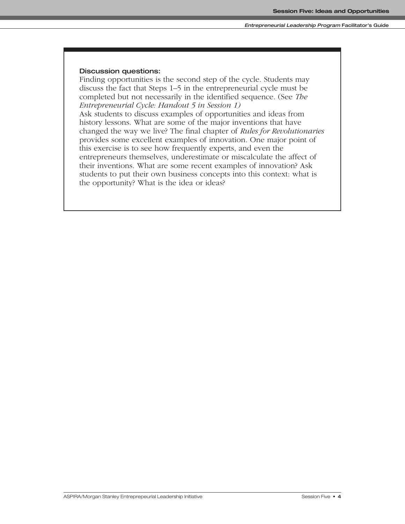#### **Discussion questions:**

Finding opportunities is the second step of the cycle. Students may discuss the fact that Steps 1–5 in the entrepreneurial cycle must be completed but not necessarily in the identified sequence. (See *The Entrepreneurial Cycle: Handout 5 in Session 1)* 

Ask students to discuss examples of opportunities and ideas from history lessons. What are some of the major inventions that have changed the way we live? The final chapter of *Rules for Revolutionaries* provides some excellent examples of innovation. One major point of this exercise is to see how frequently experts, and even the entrepreneurs themselves, underestimate or miscalculate the affect of their inventions. What are some recent examples of innovation? Ask students to put their own business concepts into this context: what is the opportunity? What is the idea or ideas?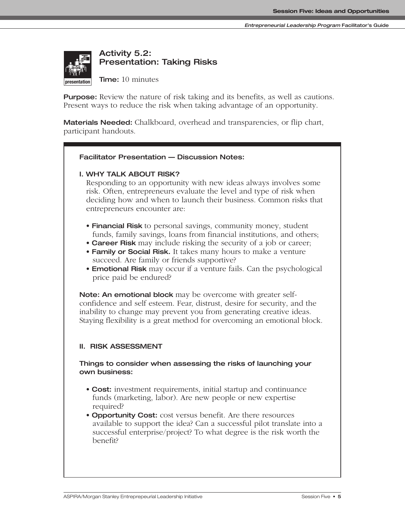

**Activity 5.2: Presentation: Taking Risks**

**Time:** 10 minutes

**Purpose:** Review the nature of risk taking and its benefits, as well as cautions. Present ways to reduce the risk when taking advantage of an opportunity.

**Materials Needed:** Chalkboard, overhead and transparencies, or flip chart, participant handouts.

#### **Facilitator Presentation — Discussion Notes:**

**I. WHY TALK ABOUT RISK?**

Responding to an opportunity with new ideas always involves some risk. Often, entrepreneurs evaluate the level and type of risk when deciding how and when to launch their business. Common risks that entrepreneurs encounter are: **interaction**

- **Financial Risk** to personal savings, community money, student funds, family savings, loans from financial institutions, and others;
- **Career Risk** may include risking the security of a job or career;
- **Family or Social Risk.** It takes many hours to make a venture succeed. Are family or friends supportive?
- **Emotional Risk** may occur if a venture fails. Can the psychological price paid be endured?

**Note: An emotional block** may be overcome with greater selfconfidence and self esteem. Fear, distrust, desire for security, and the inability to change may prevent you from generating creative ideas. Staying flexibility is a great method for overcoming an emotional block.

#### **II. RISK ASSESSMENT**

#### **Things to consider when assessing the risks of launching your own business:**

- **Cost:** investment requirements, initial startup and continuance funds (marketing, labor). Are new people or new expertise required?
- **Opportunity Cost:** cost versus benefit. Are there resources available to support the idea? Can a successful pilot translate into a successful enterprise/project? To what degree is the risk worth the benefit?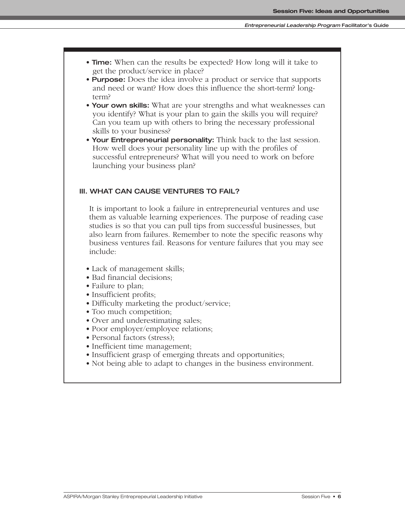- **Time:** When can the results be expected? How long will it take to get the product/service in place?
- **Purpose:** Does the idea involve a product or service that supports and need or want? How does this influence the short-term? longterm?
- **Your own skills:** What are your strengths and what weaknesses can you identify? What is your plan to gain the skills you will require? Can you team up with others to bring the necessary professional skills to your business?
- **Your Entrepreneurial personality:** Think back to the last session. How well does your personality line up with the profiles of successful entrepreneurs? What will you need to work on before launching your business plan?

#### **III. WHAT CAN CAUSE VENTURES TO FAIL?**

It is important to look a failure in entrepreneurial ventures and use them as valuable learning experiences. The purpose of reading case studies is so that you can pull tips from successful businesses, but also learn from failures. Remember to note the specific reasons why business ventures fail. Reasons for venture failures that you may see include:

- Lack of management skills;
- Bad financial decisions;
- Failure to plan;
- Insufficient profits;
- Difficulty marketing the product/service;
- Too much competition;
- Over and underestimating sales;
- Poor employer/employee relations;
- Personal factors (stress);
- Inefficient time management;
- Insufficient grasp of emerging threats and opportunities;
- Not being able to adapt to changes in the business environment.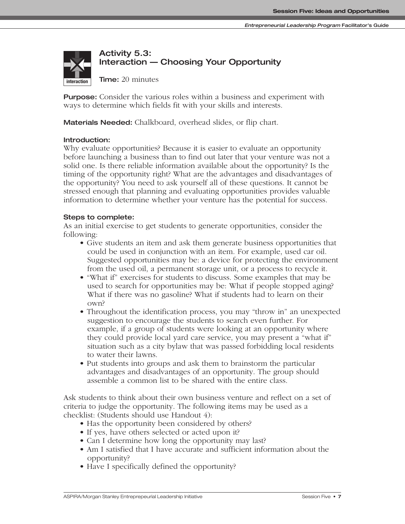

# **Activity 5.3: Interaction — Choosing Your Opportunity**

**Time:** 20 minutes

**Purpose:** Consider the various roles within a business and experiment with ways to determine which fields fit with your skills and interests.

**Materials Needed:** Chalkboard, overhead slides, or flip chart.

#### **Introduction:**

Why evaluate opportunities? Because it is easier to evaluate an opportunity before launching a business than to find out later that your venture was not a solid one. Is there reliable information available about the opportunity? Is the timing of the opportunity right? What are the advantages and disadvantages of the opportunity? You need to ask yourself all of these questions. It cannot be stressed enough that planning and evaluating opportunities provides valuable information to determine whether your venture has the potential for success.

#### **Steps to complete:**

As an initial exercise to get students to generate opportunities, consider the following:

- Give students an item and ask them generate business opportunities that could be used in conjunction with an item. For example, used car oil. Suggested opportunities may be: a device for protecting the environment from the used oil, a permanent storage unit, or a process to recycle it.
- "What if" exercises for students to discuss. Some examples that may be used to search for opportunities may be: What if people stopped aging? What if there was no gasoline? What if students had to learn on their own?
- Throughout the identification process, you may "throw in" an unexpected suggestion to encourage the students to search even further. For example, if a group of students were looking at an opportunity where they could provide local yard care service, you may present a "what if" situation such as a city bylaw that was passed forbidding local residents to water their lawns.
- Put students into groups and ask them to brainstorm the particular advantages and disadvantages of an opportunity. The group should assemble a common list to be shared with the entire class.

Ask students to think about their own business venture and reflect on a set of criteria to judge the opportunity. The following items may be used as a checklist: (Students should use Handout 4):

- Has the opportunity been considered by others?
- If yes, have others selected or acted upon it?
- Can I determine how long the opportunity may last?
- Am I satisfied that I have accurate and sufficient information about the opportunity?
- Have I specifically defined the opportunity?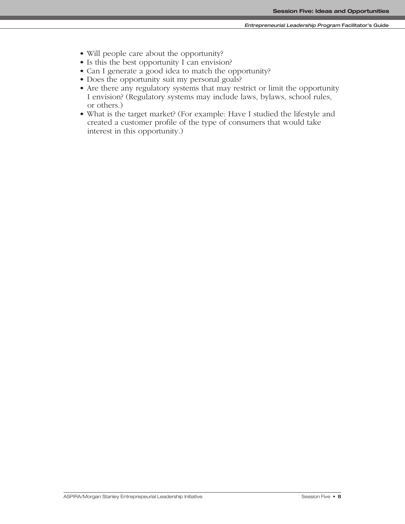- Will people care about the opportunity?
- Is this the best opportunity I can envision?
- Can I generate a good idea to match the opportunity?
- Does the opportunity suit my personal goals?
- Are there any regulatory systems that may restrict or limit the opportunity I envision? (Regulatory systems may include laws, bylaws, school rules, or others.)
- What is the target market? (For example: Have I studied the lifestyle and created a customer profile of the type of consumers that would take interest in this opportunity.)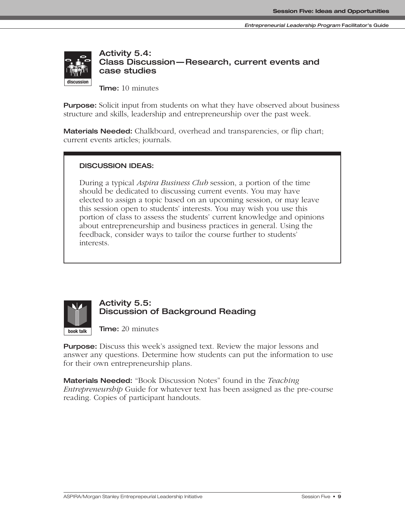

**Activity 5.4: Class Discussion— Research, current events and case studies**

**Time:** 10 minutes

**Purpose:** Solicit input from students on what they have observed about business structure and skills, leadership and entrepreneurship over the past week.

**Materials Needed:** Chalkboard, overhead and transparencies, or flip chart; current events articles; journals.

#### **DISCUSSION IDEAS:**

During a typical *Aspira Business Club* session, a portion of the time should be dedicated to discussing current events. You may have elected to assign a topic based on an upcoming session, or may leave this session open to students' interests. You may wish you use this portion of class to assess the students' current knowledge and opinions about entrepreneurship and business practices in general. Using the feedback, consider ways to tailor the course further to students' interests.



### **Activity 5.5: Discussion of Background Reading**

**Time:** 20 minutes

**Purpose:** Discuss this week's assigned text. Review the major lessons and answer any questions. Determine how students can put the information to use for their own entrepreneurship plans.

**Materials Needed:** "Book Discussion Notes" found in the *Teaching Entrepreneurship* Guide for whatever text has been assigned as the pre-course reading. Copies of participant handouts.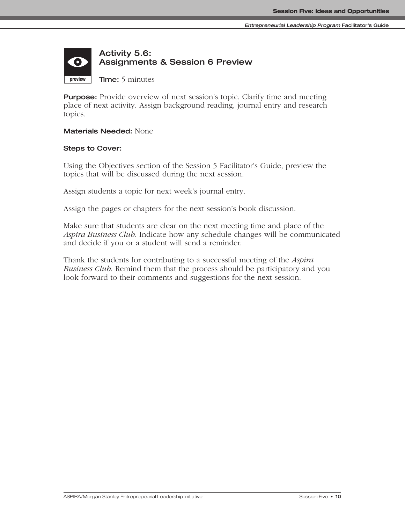#### **Activity 5.6:**   $\bullet$ **Assignments & Session 6 Preview Time:** 5 minutes **preview**

**Purpose:** Provide overview of next session's topic. Clarify time and meeting place of next activity. Assign background reading, journal entry and research topics.

#### **Materials Needed:** None

#### **Steps to Cover:**

**presentation discussion**

Using the Objectives section of the Session 5 Facilitator's Guide, preview the topics that will be discussed during the next session.

Assign students a topic for next week's journal entry.

Assign the pages or chapters for the next session's book discussion.

Make sure that students are clear on the next meeting time and place of the *Aspira Business Club*. Indicate how any schedule changes will be communicated and decide if you or a student will send a reminder.

Thank the students for contributing to a successful meeting of the *Aspira Business Club*. Remind them that the process should be participatory and you look forward to their comments and suggestions for the next session.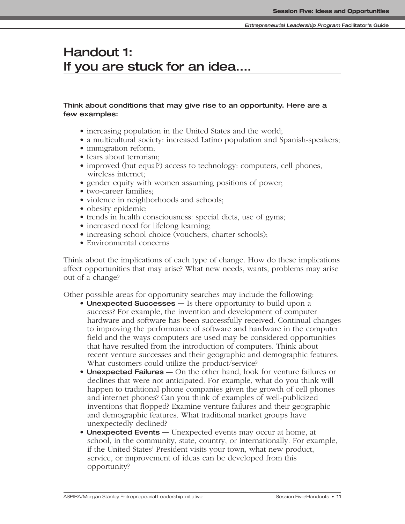# **Handout 1: If you are stuck for an idea….**

#### **Think about conditions that may give rise to an opportunity. Here are a few examples:**

- increasing population in the United States and the world;
- a multicultural society: increased Latino population and Spanish-speakers;
- immigration reform;
- fears about terrorism;
- improved (but equal?) access to technology: computers, cell phones, wireless internet;
- gender equity with women assuming positions of power;
- two-career families;
- violence in neighborhoods and schools;
- obesity epidemic;
- trends in health consciousness: special diets, use of gyms;
- increased need for lifelong learning;
- increasing school choice (vouchers, charter schools);
- Environmental concerns

Think about the implications of each type of change. How do these implications affect opportunities that may arise? What new needs, wants, problems may arise out of a change?

Other possible areas for opportunity searches may include the following:

- **Unexpected Successes —** Is there opportunity to build upon a success? For example, the invention and development of computer hardware and software has been successfully received. Continual changes to improving the performance of software and hardware in the computer field and the ways computers are used may be considered opportunities that have resulted from the introduction of computers. Think about recent venture successes and their geographic and demographic features. What customers could utilize the product/service?
- **Unexpected Failures —** On the other hand, look for venture failures or declines that were not anticipated. For example, what do you think will happen to traditional phone companies given the growth of cell phones and internet phones? Can you think of examples of well-publicized inventions that flopped? Examine venture failures and their geographic and demographic features. What traditional market groups have unexpectedly declined?
- **Unexpected Events —** Unexpected events may occur at home, at school, in the community, state, country, or internationally. For example, if the United States' President visits your town, what new product, service, or improvement of ideas can be developed from this opportunity?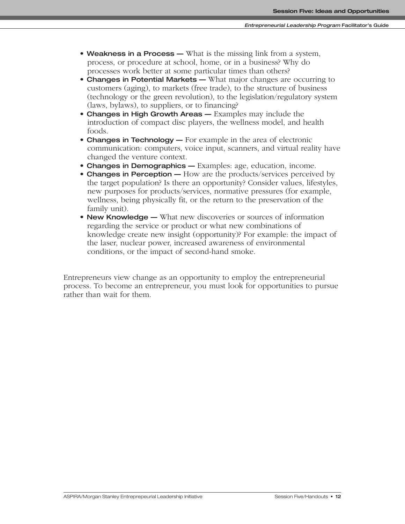- **Weakness in a Process —** What is the missing link from a system, process, or procedure at school, home, or in a business? Why do processes work better at some particular times than others?
- **Changes in Potential Markets —** What major changes are occurring to customers (aging), to markets (free trade), to the structure of business (technology or the green revolution), to the legislation/regulatory system (laws, bylaws), to suppliers, or to financing?
- **Changes in High Growth Areas —** Examples may include the introduction of compact disc players, the wellness model, and health foods.
- **Changes in Technology —** For example in the area of electronic communication: computers, voice input, scanners, and virtual reality have changed the venture context.
- **Changes in Demographics —** Examples: age, education, income.
- **Changes in Perception** How are the products/services perceived by the target population? Is there an opportunity? Consider values, lifestyles, new purposes for products/services, normative pressures (for example, wellness, being physically fit, or the return to the preservation of the family unit).
- **New Knowledge —** What new discoveries or sources of information regarding the service or product or what new combinations of knowledge create new insight (opportunity)? For example: the impact of the laser, nuclear power, increased awareness of environmental conditions, or the impact of second-hand smoke.

Entrepreneurs view change as an opportunity to employ the entrepreneurial process. To become an entrepreneur, you must look for opportunities to pursue rather than wait for them.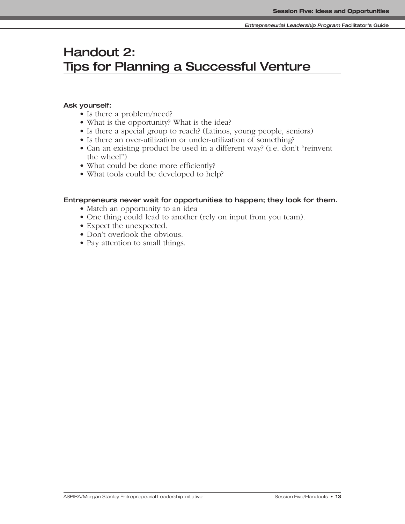# **Handout 2: Tips for Planning a Successful Venture**

#### **Ask yourself:**

- Is there a problem/need?
- What is the opportunity? What is the idea?
- Is there a special group to reach? (Latinos, young people, seniors)
- Is there an over-utilization or under-utilization of something?
- Can an existing product be used in a different way? (i.e. don't "reinvent the wheel")
- What could be done more efficiently?
- What tools could be developed to help?

#### **Entrepreneurs never wait for opportunities to happen; they look for them.**

- Match an opportunity to an idea
- One thing could lead to another (rely on input from you team).
- Expect the unexpected.
- Don't overlook the obvious.
- Pay attention to small things.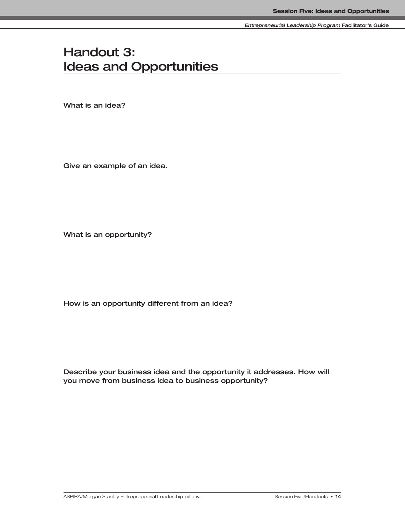**Entrepreneurial Leadership Program Facilitator's Guide**

# **Handout 3: Ideas and Opportunities**

**What is an idea?**

**Give an example of an idea.**

**What is an opportunity?**

**How is an opportunity different from an idea?**

**Describe your business idea and the opportunity it addresses. How will you move from business idea to business opportunity?**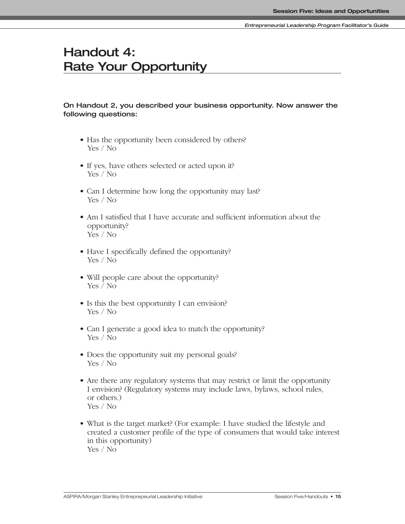# **Handout 4: Rate Your Opportunity**

#### **On Handout 2, you described your business opportunity. Now answer the following questions:**

- Has the opportunity been considered by others? Yes / No
- If yes, have others selected or acted upon it? Yes / No
- Can I determine how long the opportunity may last? Yes / No
- Am I satisfied that I have accurate and sufficient information about the opportunity? Yes / No
- Have I specifically defined the opportunity? Yes / No
- Will people care about the opportunity? Yes / No
- Is this the best opportunity I can envision? Yes / No
- Can I generate a good idea to match the opportunity? Yes / No
- Does the opportunity suit my personal goals? Yes / No
- Are there any regulatory systems that may restrict or limit the opportunity I envision? (Regulatory systems may include laws, bylaws, school rules, or others.) Yes / No
- What is the target market? (For example: I have studied the lifestyle and created a customer profile of the type of consumers that would take interest in this opportunity) Yes / No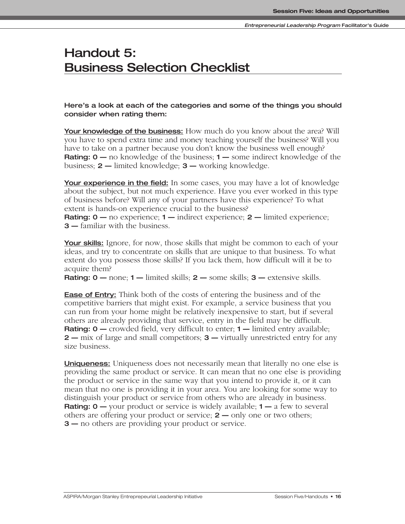# **Handout 5: Business Selection Checklist**

**Here's a look at each of the categories and some of the things you should consider when rating them:**

**Your knowledge of the business:** How much do you know about the area? Will you have to spend extra time and money teaching yourself the business? Will you have to take on a partner because you don't know the business well enough? **Rating: 0** — no knowledge of the business; **1** — some indirect knowledge of the business; **2 —** limited knowledge; **3 —** working knowledge.

**Your experience in the field:** In some cases, you may have a lot of knowledge about the subject, but not much experience. Have you ever worked in this type of business before? Will any of your partners have this experience? To what extent is hands-on experience crucial to the business?

**Rating: 0 —** no experience; **1 —** indirect experience; **2** — limited experience; **3 —** familiar with the business.

**Your skills:** Ignore, for now, those skills that might be common to each of your ideas, and try to concentrate on skills that are unique to that business. To what extent do you possess those skills? If you lack them, how difficult will it be to acquire them?

**Rating: 0 —** none; **1 —** limited skills; **2 —** some skills; **3 —** extensive skills.

**Ease of Entry:** Think both of the costs of entering the business and of the competitive barriers that might exist. For example, a service business that you can run from your home might be relatively inexpensive to start, but if several others are already providing that service, entry in the field may be difficult. **Rating: 0** — crowded field, very difficult to enter; **1** — limited entry available; **2 —** mix of large and small competitors; **3 —** virtually unrestricted entry for any size business.

**Uniqueness:** Uniqueness does not necessarily mean that literally no one else is providing the same product or service. It can mean that no one else is providing the product or service in the same way that you intend to provide it, or it can mean that no one is providing it in your area. You are looking for some way to distinguish your product or service from others who are already in business. **Rating: 0** — your product or service is widely available; **1** — a few to several others are offering your product or service; **2 —** only one or two others; **3** — no others are providing your product or service.